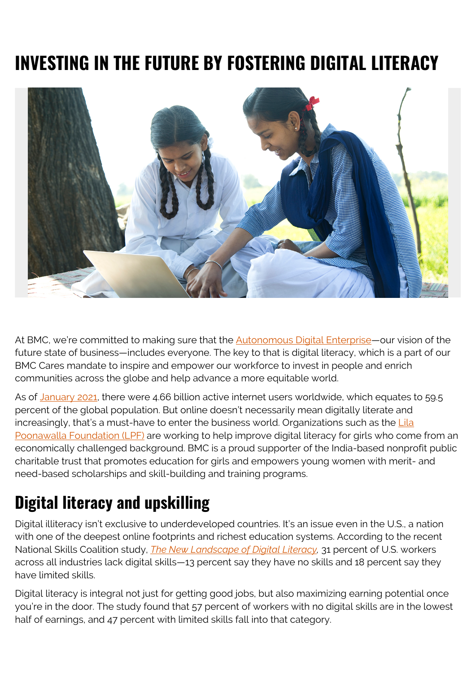# **INVESTING IN THE FUTURE BY FOSTERING DIGITAL LITERACY**



At BMC, we're committed to making sure that the **Autonomous Digital Enterprise**—our vision of the future state of business—includes everyone. The key to that is digital literacy, which is a part of our BMC Cares mandate to inspire and empower our workforce to invest in people and enrich communities across the globe and help advance a more equitable world.

As of [January 2021,](https://www.statista.com/statistics/617136/digital-population-worldwide/) there were 4.66 billion active internet users worldwide, which equates to 59.5 percent of the global population. But online doesn't necessarily mean digitally literate and increasingly, that's a must-have to enter the business world. Organizations such as the  $Lila$ [Poonawalla Foundation \(LPF\)](https://www.lilapoonawallafoundation.com/) are working to help improve digital literacy for girls who come from an economically challenged background. BMC is a proud supporter of the India-based nonprofit public charitable trust that promotes education for girls and empowers young women with merit- and need-based scholarships and skill-building and training programs.

## **Digital literacy and upskilling**

Digital illiteracy isn't exclusive to underdeveloped countries. It's an issue even in the U.S., a nation with one of the deepest online footprints and richest education systems. According to the recent National Skills Coalition study, *[The New Landscape of Digital Literacy](https://www.nationalskillscoalition.org/resource/publications/the-new-landscape-of-digital-literacy/),* 31 percent of U.S. workers across all industries lack digital skills—13 percent say they have no skills and 18 percent say they have limited skills.

Digital literacy is integral not just for getting good jobs, but also maximizing earning potential once you're in the door. The study found that 57 percent of workers with no digital skills are in the lowest half of earnings, and 47 percent with limited skills fall into that category.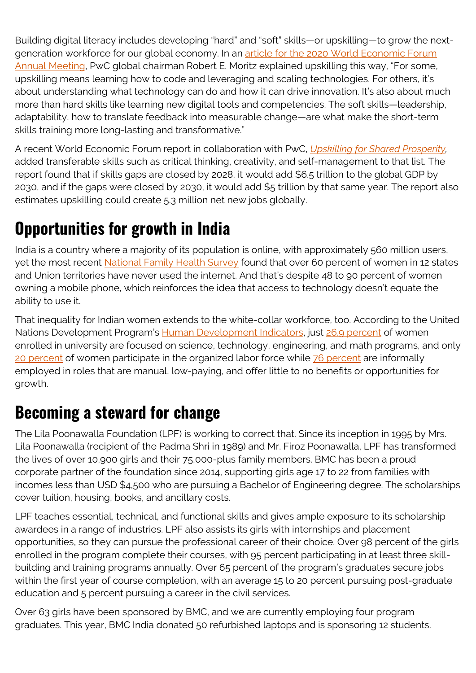Building digital literacy includes developing "hard" and "soft" skills—or upskilling—to grow the nextgeneration workforce for our global economy. In an [article for the 2020 World Economic Forum](https://www.weforum.org/agenda/2020/01/2025-leadership-collaboration-skills-training) [Annual Meeting,](https://www.weforum.org/agenda/2020/01/2025-leadership-collaboration-skills-training) PwC global chairman Robert E. Moritz explained upskilling this way, "For some, upskilling means learning how to code and leveraging and scaling technologies. For others, it's about understanding what technology can do and how it can drive innovation. It's also about much more than hard skills like learning new digital tools and competencies. The soft skills—leadership, adaptability, how to translate feedback into measurable change—are what make the short-term skills training more long-lasting and transformative."

A recent World Economic Forum report in collaboration with PwC, *[Upskilling for Shared Prosperity](https://www.pwc.com/gx/en/issues/upskilling/upskilling-for-shared-prosperity.html),* added transferable skills such as critical thinking, creativity, and self-management to that list. The report found that if skills gaps are closed by 2028, it would add \$6.5 trillion to the global GDP by 2030, and if the gaps were closed by 2030, it would add \$5 trillion by that same year. The report also estimates upskilling could create 5.3 million net new jobs globally.

### **Opportunities for growth in India**

India is a country where a majority of its population is online, with approximately 560 million users, yet the most recent [National Family Health Survey](http://rchiips.org/) found that over 60 percent of women in 12 states and Union territories have never used the internet. And that's despite 48 to 90 percent of women owning a mobile phone, which reinforces the idea that access to technology doesn't equate the ability to use it.

That inequality for Indian women extends to the white-collar workforce, too. According to the United Nations Development Program's [Human Development Indicators](http://hdr.undp.org/en/countries/profiles/IND), just [26.9 percent](http://hdr.undp.org/indicators/175906) of women enrolled in university are focused on science, technology, engineering, and math programs, and only [20 percent](http://hdr.undp.org/indicators/48706) of women participate in the organized labor force while [76 percent](http://hdr.undp.org/en/indicators/193006) are informally employed in roles that are manual, low-paying, and offer little to no benefits or opportunities for growth.

#### **Becoming a steward for change**

The Lila Poonawalla Foundation (LPF) is working to correct that. Since its inception in 1995 by Mrs. Lila Poonawalla (recipient of the Padma Shri in 1989) and Mr. Firoz Poonawalla, LPF has transformed the lives of over 10,900 girls and their 75,000-plus family members. BMC has been a proud corporate partner of the foundation since 2014, supporting girls age 17 to 22 from families with incomes less than USD \$4,500 who are pursuing a Bachelor of Engineering degree. The scholarships cover tuition, housing, books, and ancillary costs.

LPF teaches essential, technical, and functional skills and gives ample exposure to its scholarship awardees in a range of industries. LPF also assists its girls with internships and placement opportunities, so they can pursue the professional career of their choice. Over 98 percent of the girls enrolled in the program complete their courses, with 95 percent participating in at least three skillbuilding and training programs annually. Over 65 percent of the program's graduates secure jobs within the first year of course completion, with an average 15 to 20 percent pursuing post-graduate education and 5 percent pursuing a career in the civil services.

Over 63 girls have been sponsored by BMC, and we are currently employing four program graduates. This year, BMC India donated 50 refurbished laptops and is sponsoring 12 students.